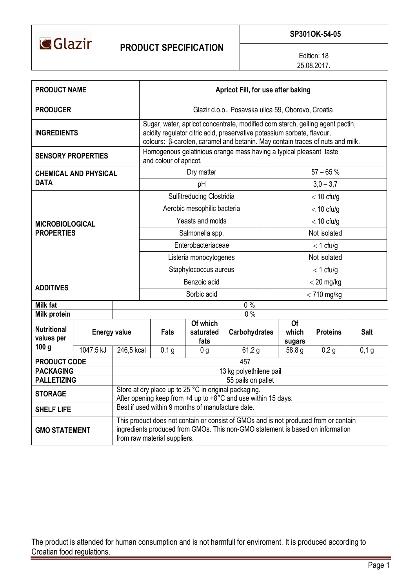

Edition: 18 25.08.2017.

| <b>PRODUCT NAME</b>                                  |                     |                                                                                                                                                                                                        | Apricot Fill, for use after baking                                                                                                                                                                                                         |    |                               |                      |              |                                    |                 |             |  |  |
|------------------------------------------------------|---------------------|--------------------------------------------------------------------------------------------------------------------------------------------------------------------------------------------------------|--------------------------------------------------------------------------------------------------------------------------------------------------------------------------------------------------------------------------------------------|----|-------------------------------|----------------------|--------------|------------------------------------|-----------------|-------------|--|--|
| <b>PRODUCER</b>                                      |                     |                                                                                                                                                                                                        | Glazir d.o.o., Posavska ulica 59, Oborovo, Croatia                                                                                                                                                                                         |    |                               |                      |              |                                    |                 |             |  |  |
| <b>INGREDIENTS</b>                                   |                     |                                                                                                                                                                                                        | Sugar, water, apricot concentrate, modified corn starch, gelling agent pectin,<br>acidity regulator citric acid, preservative potassium sorbate, flavour,<br>colours: β-caroten, caramel and betanin. May contain traces of nuts and milk. |    |                               |                      |              |                                    |                 |             |  |  |
| <b>SENSORY PROPERTIES</b>                            |                     |                                                                                                                                                                                                        | Homogenous gelatinious orange mass having a typical pleasant taste<br>and colour of apricot.                                                                                                                                               |    |                               |                      |              |                                    |                 |             |  |  |
| CHEMICAL AND PHYSICAL                                |                     |                                                                                                                                                                                                        |                                                                                                                                                                                                                                            |    | Dry matter                    |                      | $57 - 65%$   |                                    |                 |             |  |  |
| <b>DATA</b>                                          |                     |                                                                                                                                                                                                        |                                                                                                                                                                                                                                            | pH |                               | $3,0 - 3,7$          |              |                                    |                 |             |  |  |
|                                                      |                     |                                                                                                                                                                                                        | Sulfitreducing Clostridia                                                                                                                                                                                                                  |    |                               |                      |              | $<$ 10 cfu/g                       |                 |             |  |  |
|                                                      |                     |                                                                                                                                                                                                        | Aerobic mesophilic bacteria                                                                                                                                                                                                                |    |                               |                      |              | $<$ 10 cfu/g                       |                 |             |  |  |
| <b>MICROBIOLOGICAL</b>                               |                     | Yeasts and molds                                                                                                                                                                                       |                                                                                                                                                                                                                                            |    |                               |                      | $<$ 10 cfu/g |                                    |                 |             |  |  |
| <b>PROPERTIES</b>                                    |                     | Salmonella spp.                                                                                                                                                                                        |                                                                                                                                                                                                                                            |    |                               |                      | Not isolated |                                    |                 |             |  |  |
|                                                      |                     |                                                                                                                                                                                                        | Enterobacteriaceae                                                                                                                                                                                                                         |    |                               |                      |              | $<$ 1 cfu/g                        |                 |             |  |  |
|                                                      |                     |                                                                                                                                                                                                        | Listeria monocytogenes                                                                                                                                                                                                                     |    |                               |                      |              | Not isolated                       |                 |             |  |  |
|                                                      |                     |                                                                                                                                                                                                        | Staphylococcus aureus                                                                                                                                                                                                                      |    |                               |                      |              | $<$ 1 cfu/g                        |                 |             |  |  |
| <b>ADDITIVES</b>                                     |                     |                                                                                                                                                                                                        | Benzoic acid                                                                                                                                                                                                                               |    |                               |                      |              | $<$ 20 mg/kg                       |                 |             |  |  |
|                                                      |                     |                                                                                                                                                                                                        | Sorbic acid                                                                                                                                                                                                                                |    |                               |                      |              | $<$ 710 mg/kg                      |                 |             |  |  |
| <b>Milk fat</b>                                      |                     |                                                                                                                                                                                                        | $0\%$                                                                                                                                                                                                                                      |    |                               |                      |              |                                    |                 |             |  |  |
| <b>Milk protein</b>                                  |                     |                                                                                                                                                                                                        | 0%                                                                                                                                                                                                                                         |    |                               |                      |              |                                    |                 |             |  |  |
| <b>Nutritional</b><br>values per<br>100 <sub>g</sub> | <b>Energy value</b> |                                                                                                                                                                                                        | <b>Fats</b>                                                                                                                                                                                                                                |    | Of which<br>saturated<br>fats | <b>Carbohydrates</b> |              | $\overline{Of}$<br>which<br>sugars | <b>Proteins</b> | <b>Salt</b> |  |  |
|                                                      | 1047,5 kJ           | 246,5 kcal                                                                                                                                                                                             | $0,1$ g                                                                                                                                                                                                                                    |    | 0 <sub>g</sub>                | 61,2 g               |              | 58,8 g                             | 0,2g            | $0,1$ g     |  |  |
| <b>PRODUCT CODE</b>                                  |                     | 457                                                                                                                                                                                                    |                                                                                                                                                                                                                                            |    |                               |                      |              |                                    |                 |             |  |  |
| <b>PACKAGING</b>                                     |                     | 13 kg polyethilene pail                                                                                                                                                                                |                                                                                                                                                                                                                                            |    |                               |                      |              |                                    |                 |             |  |  |
| <b>PALLETIZING</b>                                   |                     | 55 pails on pallet                                                                                                                                                                                     |                                                                                                                                                                                                                                            |    |                               |                      |              |                                    |                 |             |  |  |
| <b>STORAGE</b>                                       |                     | Store at dry place up to 25 °C in original packaging.<br>After opening keep from +4 up to +8°C and use within 15 days.                                                                                 |                                                                                                                                                                                                                                            |    |                               |                      |              |                                    |                 |             |  |  |
| <b>SHELF LIFE</b>                                    |                     | Best if used within 9 months of manufacture date.                                                                                                                                                      |                                                                                                                                                                                                                                            |    |                               |                      |              |                                    |                 |             |  |  |
| <b>GMO STATEMENT</b>                                 |                     | This product does not contain or consist of GMOs and is not produced from or contain<br>ingredients produced from GMOs. This non-GMO statement is based on information<br>from raw material suppliers. |                                                                                                                                                                                                                                            |    |                               |                      |              |                                    |                 |             |  |  |